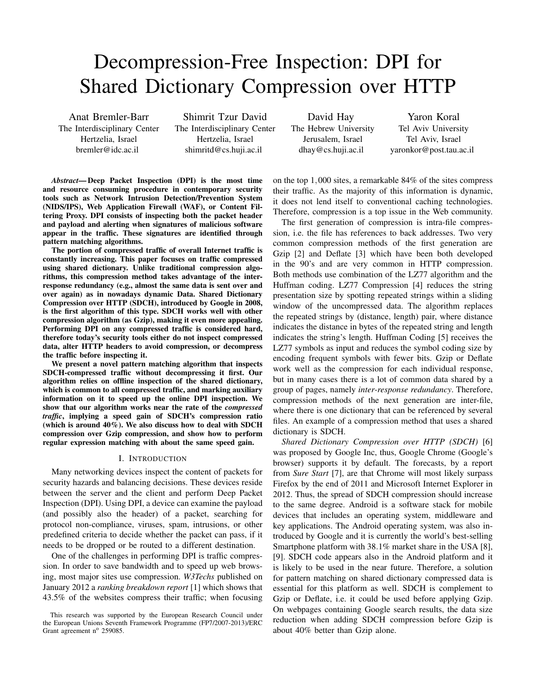# Decompression-Free Inspection: DPI for Shared Dictionary Compression over HTTP

Anat Bremler-Barr The Interdisciplinary Center Hertzelia, Israel bremler@idc.ac.il

Shimrit Tzur David The Interdisciplinary Center Hertzelia, Israel shimritd@cs.huji.ac.il

David Hay The Hebrew University Jerusalem, Israel dhay@cs.huji.ac.il

Yaron Koral Tel Aviv University Tel Aviv, Israel yaronkor@post.tau.ac.il

*Abstract*— Deep Packet Inspection (DPI) is the most time and resource consuming procedure in contemporary security tools such as Network Intrusion Detection/Prevention System (NIDS/IPS), Web Application Firewall (WAF), or Content Filtering Proxy. DPI consists of inspecting both the packet header and payload and alerting when signatures of malicious software appear in the traffic. These signatures are identified through pattern matching algorithms.

The portion of compressed traffic of overall Internet traffic is constantly increasing. This paper focuses on traffic compressed using shared dictionary. Unlike traditional compression algorithms, this compression method takes advantage of the interresponse redundancy (e.g., almost the same data is sent over and over again) as in nowadays dynamic Data. Shared Dictionary Compression over HTTP (SDCH), introduced by Google in 2008, is the first algorithm of this type. SDCH works well with other compression algorithm (as Gzip), making it even more appealing. Performing DPI on any compressed traffic is considered hard, therefore today's security tools either do not inspect compressed data, alter HTTP headers to avoid compression, or decompress the traffic before inspecting it.

We present a novel pattern matching algorithm that inspects SDCH-compressed traffic without decompressing it first. Our algorithm relies on offline inspection of the shared dictionary, which is common to all compressed traffic, and marking auxiliary information on it to speed up the online DPI inspection. We show that our algorithm works near the rate of the *compressed traffic*, implying a speed gain of SDCH's compression ratio (which is around 40%). We also discuss how to deal with SDCH compression over Gzip compression, and show how to perform regular expression matching with about the same speed gain.

#### I. INTRODUCTION

Many networking devices inspect the content of packets for security hazards and balancing decisions. These devices reside between the server and the client and perform Deep Packet Inspection (DPI). Using DPI, a device can examine the payload (and possibly also the header) of a packet, searching for protocol non-compliance, viruses, spam, intrusions, or other predefined criteria to decide whether the packet can pass, if it needs to be dropped or be routed to a different destination.

One of the challenges in performing DPI is traffic compression. In order to save bandwidth and to speed up web browsing, most major sites use compression. *W3Techs* published on January 2012 a *ranking breakdown report* [1] which shows that 43.5% of the websites compress their traffic; when focusing on the top 1,000 sites, a remarkable 84% of the sites compress their traffic. As the majority of this information is dynamic, it does not lend itself to conventional caching technologies. Therefore, compression is a top issue in the Web community.

The first generation of compression is intra-file compression, i.e. the file has references to back addresses. Two very common compression methods of the first generation are Gzip [2] and Deflate [3] which have been both developed in the 90's and are very common in HTTP compression. Both methods use combination of the LZ77 algorithm and the Huffman coding. LZ77 Compression [4] reduces the string presentation size by spotting repeated strings within a sliding window of the uncompressed data. The algorithm replaces the repeated strings by (distance, length) pair, where distance indicates the distance in bytes of the repeated string and length indicates the string's length. Huffman Coding [5] receives the LZ77 symbols as input and reduces the symbol coding size by encoding frequent symbols with fewer bits. Gzip or Deflate work well as the compression for each individual response, but in many cases there is a lot of common data shared by a group of pages, namely *inter-response redundancy*. Therefore, compression methods of the next generation are inter-file, where there is one dictionary that can be referenced by several files. An example of a compression method that uses a shared dictionary is SDCH.

*Shared Dictionary Compression over HTTP (SDCH)* [6] was proposed by Google Inc, thus, Google Chrome (Google's browser) supports it by default. The forecasts, by a report from *Sure Start* [7], are that Chrome will most likely surpass Firefox by the end of 2011 and Microsoft Internet Explorer in 2012. Thus, the spread of SDCH compression should increase to the same degree. Android is a software stack for mobile devices that includes an operating system, middleware and key applications. The Android operating system, was also introduced by Google and it is currently the world's best-selling Smartphone platform with 38.1% market share in the USA [8], [9]. SDCH code appears also in the Android platform and it is likely to be used in the near future. Therefore, a solution for pattern matching on shared dictionary compressed data is essential for this platform as well. SDCH is complement to Gzip or Deflate, i.e. it could be used before applying Gzip. On webpages containing Google search results, the data size reduction when adding SDCH compression before Gzip is about 40% better than Gzip alone.

This research was supported by the European Research Council under the European Unions Seventh Framework Programme (FP7/2007-2013)/ERC Grant agreement nº 259085.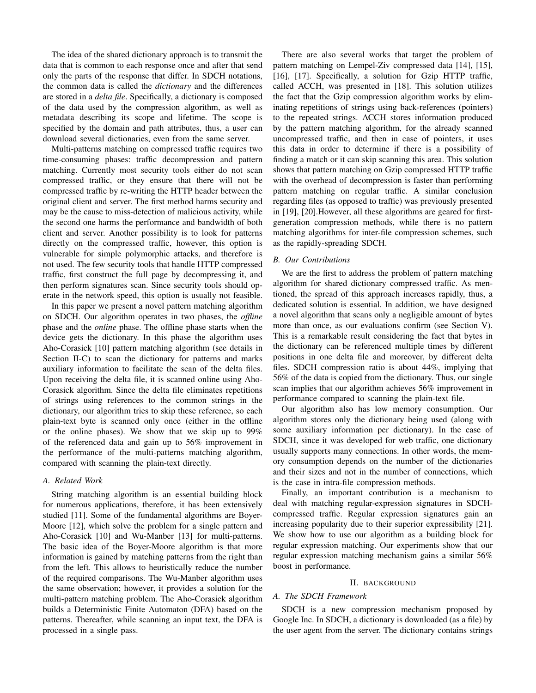The idea of the shared dictionary approach is to transmit the data that is common to each response once and after that send only the parts of the response that differ. In SDCH notations, the common data is called the *dictionary* and the differences are stored in a *delta file*. Specifically, a dictionary is composed of the data used by the compression algorithm, as well as metadata describing its scope and lifetime. The scope is specified by the domain and path attributes, thus, a user can download several dictionaries, even from the same server.

Multi-patterns matching on compressed traffic requires two time-consuming phases: traffic decompression and pattern matching. Currently most security tools either do not scan compressed traffic, or they ensure that there will not be compressed traffic by re-writing the HTTP header between the original client and server. The first method harms security and may be the cause to miss-detection of malicious activity, while the second one harms the performance and bandwidth of both client and server. Another possibility is to look for patterns directly on the compressed traffic, however, this option is vulnerable for simple polymorphic attacks, and therefore is not used. The few security tools that handle HTTP compressed traffic, first construct the full page by decompressing it, and then perform signatures scan. Since security tools should operate in the network speed, this option is usually not feasible.

In this paper we present a novel pattern matching algorithm on SDCH. Our algorithm operates in two phases, the *offline* phase and the *online* phase. The offline phase starts when the device gets the dictionary. In this phase the algorithm uses Aho-Corasick [10] pattern matching algorithm (see details in Section II-C) to scan the dictionary for patterns and marks auxiliary information to facilitate the scan of the delta files. Upon receiving the delta file, it is scanned online using Aho-Corasick algorithm. Since the delta file eliminates repetitions of strings using references to the common strings in the dictionary, our algorithm tries to skip these reference, so each plain-text byte is scanned only once (either in the offline or the online phases). We show that we skip up to 99% of the referenced data and gain up to 56% improvement in the performance of the multi-patterns matching algorithm, compared with scanning the plain-text directly.

# *A. Related Work*

String matching algorithm is an essential building block for numerous applications, therefore, it has been extensively studied [11]. Some of the fundamental algorithms are Boyer-Moore [12], which solve the problem for a single pattern and Aho-Corasick [10] and Wu-Manber [13] for multi-patterns. The basic idea of the Boyer-Moore algorithm is that more information is gained by matching patterns from the right than from the left. This allows to heuristically reduce the number of the required comparisons. The Wu-Manber algorithm uses the same observation; however, it provides a solution for the multi-pattern matching problem. The Aho-Corasick algorithm builds a Deterministic Finite Automaton (DFA) based on the patterns. Thereafter, while scanning an input text, the DFA is processed in a single pass.

There are also several works that target the problem of pattern matching on Lempel-Ziv compressed data [14], [15], [16], [17]. Specifically, a solution for Gzip HTTP traffic, called ACCH, was presented in [18]. This solution utilizes the fact that the Gzip compression algorithm works by eliminating repetitions of strings using back-references (pointers) to the repeated strings. ACCH stores information produced by the pattern matching algorithm, for the already scanned uncompressed traffic, and then in case of pointers, it uses this data in order to determine if there is a possibility of finding a match or it can skip scanning this area. This solution shows that pattern matching on Gzip compressed HTTP traffic with the overhead of decompression is faster than performing pattern matching on regular traffic. A similar conclusion regarding files (as opposed to traffic) was previously presented in [19], [20].However, all these algorithms are geared for firstgeneration compression methods, while there is no pattern matching algorithms for inter-file compression schemes, such as the rapidly-spreading SDCH.

#### *B. Our Contributions*

We are the first to address the problem of pattern matching algorithm for shared dictionary compressed traffic. As mentioned, the spread of this approach increases rapidly, thus, a dedicated solution is essential. In addition, we have designed a novel algorithm that scans only a negligible amount of bytes more than once, as our evaluations confirm (see Section V). This is a remarkable result considering the fact that bytes in the dictionary can be referenced multiple times by different positions in one delta file and moreover, by different delta files. SDCH compression ratio is about 44%, implying that 56% of the data is copied from the dictionary. Thus, our single scan implies that our algorithm achieves 56% improvement in performance compared to scanning the plain-text file.

Our algorithm also has low memory consumption. Our algorithm stores only the dictionary being used (along with some auxiliary information per dictionary). In the case of SDCH, since it was developed for web traffic, one dictionary usually supports many connections. In other words, the memory consumption depends on the number of the dictionaries and their sizes and not in the number of connections, which is the case in intra-file compression methods.

Finally, an important contribution is a mechanism to deal with matching regular-expression signatures in SDCHcompressed traffic. Regular expression signatures gain an increasing popularity due to their superior expressibility [21]. We show how to use our algorithm as a building block for regular expression matching. Our experiments show that our regular expression matching mechanism gains a similar 56% boost in performance.

# II. BACKGROUND

# *A. The SDCH Framework*

SDCH is a new compression mechanism proposed by Google Inc. In SDCH, a dictionary is downloaded (as a file) by the user agent from the server. The dictionary contains strings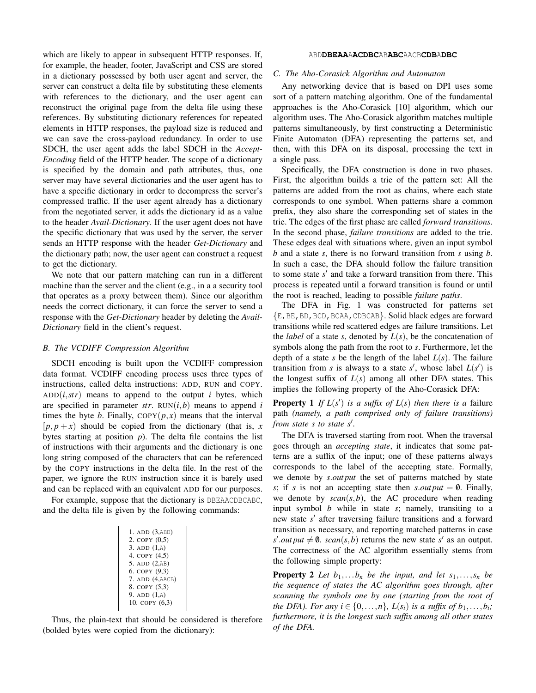which are likely to appear in subsequent HTTP responses. If, for example, the header, footer, JavaScript and CSS are stored in a dictionary possessed by both user agent and server, the server can construct a delta file by substituting these elements with references to the dictionary, and the user agent can reconstruct the original page from the delta file using these references. By substituting dictionary references for repeated elements in HTTP responses, the payload size is reduced and we can save the cross-payload redundancy. In order to use SDCH, the user agent adds the label SDCH in the *Accept-Encoding* field of the HTTP header. The scope of a dictionary is specified by the domain and path attributes, thus, one server may have several dictionaries and the user agent has to have a specific dictionary in order to decompress the server's compressed traffic. If the user agent already has a dictionary from the negotiated server, it adds the dictionary id as a value to the header *Avail-Dictionary*. If the user agent does not have the specific dictionary that was used by the server, the server sends an HTTP response with the header *Get-Dictionary* and the dictionary path; now, the user agent can construct a request to get the dictionary.

We note that our pattern matching can run in a different machine than the server and the client (e.g., in a a security tool that operates as a proxy between them). Since our algorithm needs the correct dictionary, it can force the server to send a response with the *Get-Dictionary* header by deleting the *Avail-Dictionary* field in the client's request.

# *B. The VCDIFF Compression Algorithm*

SDCH encoding is built upon the VCDIFF compression data format. VCDIFF encoding process uses three types of instructions, called delta instructions: ADD, RUN and COPY.  $ADD(i, str)$  means to append to the output *i* bytes, which are specified in parameter  $str.$  RUN $(i,b)$  means to append *i* times the byte *b*. Finally,  $COPY(p, x)$  means that the interval  $[p, p + x]$  should be copied from the dictionary (that is, *x* bytes starting at position  $p$ ). The delta file contains the list of instructions with their arguments and the dictionary is one long string composed of the characters that can be referenced by the COPY instructions in the delta file. In the rest of the paper, we ignore the RUN instruction since it is barely used and can be replaced with an equivalent ADD for our purposes.

For example, suppose that the dictionary is DBEAACDBCABC, and the delta file is given by the following commands:

| 1. ADD (3,ABD)   |
|------------------|
|                  |
| 2. COPY (0,5)    |
| $3.$ ADD $(1,A)$ |
| 4. COPY (4,5)    |
| 5. ADD (2,AB)    |
| 6. COPY (9,3)    |
| 7. ADD (4, AACB) |
| 8. COPY (5,3)    |
| 9. ADD $(1,A)$   |
| 10. COPY (6,3)   |
|                  |

Thus, the plain-text that should be considered is therefore (bolded bytes were copied from the dictionary):

#### ABD**DBEAA**A**ACDBC**AB**ABC**AACB**CDB**A**DBC**

## *C. The Aho-Corasick Algorithm and Automaton*

Any networking device that is based on DPI uses some sort of a pattern matching algorithm. One of the fundamental approaches is the Aho-Corasick [10] algorithm, which our algorithm uses. The Aho-Corasick algorithm matches multiple patterns simultaneously, by first constructing a Deterministic Finite Automaton (DFA) representing the patterns set, and then, with this DFA on its disposal, processing the text in a single pass.

Specifically, the DFA construction is done in two phases. First, the algorithm builds a trie of the pattern set: All the patterns are added from the root as chains, where each state corresponds to one symbol. When patterns share a common prefix, they also share the corresponding set of states in the trie. The edges of the first phase are called *forward transitions*. In the second phase, *failure transitions* are added to the trie. These edges deal with situations where, given an input symbol *b* and a state *s*, there is no forward transition from *s* using *b*. In such a case, the DFA should follow the failure transition to some state  $s'$  and take a forward transition from there. This process is repeated until a forward transition is found or until the root is reached, leading to possible *failure paths*.

The DFA in Fig. 1 was constructed for patterns set {E,BE,BD,BCD,BCAA,CDBCAB}. Solid black edges are forward transitions while red scattered edges are failure transitions. Let the *label* of a state *s*, denoted by  $L(s)$ , be the concatenation of symbols along the path from the root to *s*. Furthermore, let the depth of a state *s* be the length of the label *L*(*s*). The failure transition from *s* is always to a state  $s'$ , whose label  $L(s')$  is the longest suffix of  $L(s)$  among all other DFA states. This implies the following property of the Aho-Corasick DFA:

**Property 1** If  $L(s')$  is a suffix of  $L(s)$  then there is a failure path *(namely, a path comprised only of failure transitions) from state s to state s'.* 

The DFA is traversed starting from root. When the traversal goes through an *accepting state*, it indicates that some patterns are a suffix of the input; one of these patterns always corresponds to the label of the accepting state. Formally, we denote by *s*.*out put* the set of patterns matched by state *s*; if *s* is not an accepting state then *s*.*out put* =  $\emptyset$ . Finally, we denote by *scan*(*s*,*b*), the AC procedure when reading input symbol *b* while in state *s*; namely, transiting to a new state s' after traversing failure transitions and a forward transition as necessary, and reporting matched patterns in case *s*<sup> $\ell$ </sup>.*out put*  $\neq$  **0**. *scan*(*s*,*b*) returns the new state *s*<sup> $\ell$ </sup> as an output. The correctness of the AC algorithm essentially stems from the following simple property:

**Property 2** Let  $b_1$ ,... $b_n$  be the input, and let  $s_1$ ,..., $s_n$  be *the sequence of states the AC algorithm goes through, after scanning the symbols one by one (starting from the root of the DFA). For any i*  $\in \{0, \ldots, n\}$ ,  $L(s_i)$  *is a suffix of b*<sub>1</sub>*,...*,*b*<sub>*i*</sub>; *furthermore, it is the longest such suffix among all other states of the DFA.*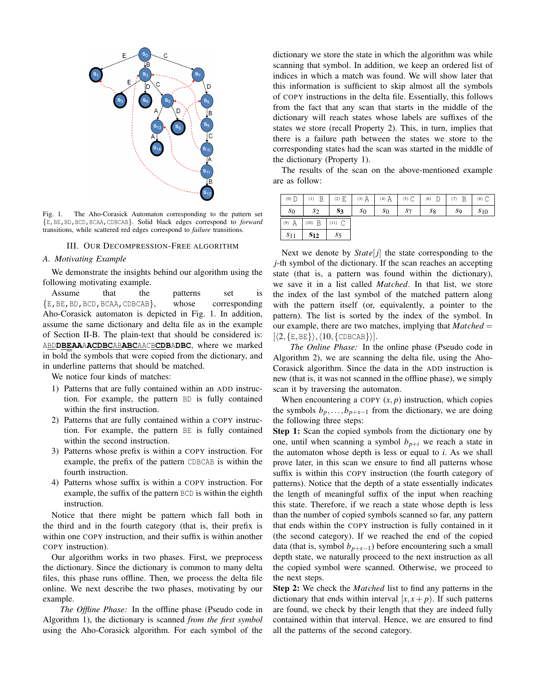

Fig. 1. The Aho-Corasick Automaton corresponding to the pattern set {E,BE,BD,BCD,BCAA,CDBCAB}. Solid black edges correspond to *forward* transitions, while scattered red edges correspond to *failure* transitions.

## III. OUR DECOMPRESSION-FREE ALGORITHM

# *A. Motivating Example*

We demonstrate the insights behind our algorithm using the following motivating example.

Assume that the patterns set is {E,BE,BD,BCD,BCAA,CDBCAB}, whose corresponding Aho-Corasick automaton is depicted in Fig. 1. In addition, assume the same dictionary and delta file as in the example of Section II-B. The plain-text that should be considered is: ABD**DBEAA**A**ACDBC**AB**ABC**AACB**CDB**A**DBC**, where we marked in bold the symbols that were copied from the dictionary, and in underline patterns that should be matched.

We notice four kinds of matches:

- 1) Patterns that are fully contained within an ADD instruction. For example, the pattern BD is fully contained within the first instruction.
- 2) Patterns that are fully contained within a COPY instruction. For example, the pattern BE is fully contained within the second instruction.
- 3) Patterns whose prefix is within a COPY instruction. For example, the prefix of the pattern CDBCAB is within the fourth instruction.
- 4) Patterns whose suffix is within a COPY instruction. For example, the suffix of the pattern BCD is within the eighth instruction.

Notice that there might be pattern which fall both in the third and in the fourth category (that is, their prefix is within one COPY instruction, and their suffix is within another COPY instruction).

Our algorithm works in two phases. First, we preprocess the dictionary. Since the dictionary is common to many delta files, this phase runs offline. Then, we process the delta file online. We next describe the two phases, motivating by our example.

*The Offline Phase:* In the offline phase (Pseudo code in Algorithm 1), the dictionary is scanned *from the first symbol* using the Aho-Corasick algorithm. For each symbol of the

dictionary we store the state in which the algorithm was while scanning that symbol. In addition, we keep an ordered list of indices in which a match was found. We will show later that this information is sufficient to skip almost all the symbols of COPY instructions in the delta file. Essentially, this follows from the fact that any scan that starts in the middle of the dictionary will reach states whose labels are suffixes of the states we store (recall Property 2). This, in turn, implies that there is a failure path between the states we store to the corresponding states had the scan was started in the middle of the dictionary (Property 1).

The results of the scan on the above-mentioned example are as follow:

| $(0)$ $\Box$   | $(1)$ B  | $(2)$ $E$           | $(3)$ $\uparrow$ | $(4)$ $\uparrow$ | $(5)$ $\binom{5}{ }$ | $\mathbb{D}$<br>(6) | B<br>(7) | $(8)$ $C$ |
|----------------|----------|---------------------|------------------|------------------|----------------------|---------------------|----------|-----------|
| s <sub>0</sub> | $s_2$    | $S_3$               | $s_0$            | s <sub>0</sub>   | S <sub>7</sub>       | $s_{8}$             | $S_{9}$  | $s_{10}$  |
| $(9)$ A        | $(10)$ B | $(11)$ $\mathbb{C}$ |                  |                  |                      |                     |          |           |
| $s_{11}$       | $S_{12}$ | s <sub>5</sub>      |                  |                  |                      |                     |          |           |

Next we denote by *State*[*j*] the state corresponding to the *j*-th symbol of the dictionary. If the scan reaches an accepting state (that is, a pattern was found within the dictionary), we save it in a list called *Matched*. In that list, we store the index of the last symbol of the matched pattern along with the pattern itself (or, equivalently, a pointer to the pattern). The list is sorted by the index of the symbol. In our example, there are two matches, implying that *Matched* =  $[\langle 2,\{E,BE\}\rangle,\langle 10,\{\text{CDBCAB}\}\rangle].$ 

*The Online Phase:* In the online phase (Pseudo code in Algorithm 2), we are scanning the delta file, using the Aho-Corasick algorithm. Since the data in the ADD instruction is new (that is, it was not scanned in the offline phase), we simply scan it by traversing the automaton.

When encountering a COPY  $(x, p)$  instruction, which copies the symbols  $b_p, \ldots, b_{p+x-1}$  from the dictionary, we are doing the following three steps:

Step 1: Scan the copied symbols from the dictionary one by one, until when scanning a symbol  $b_{p+i}$  we reach a state in the automaton whose depth is less or equal to *i*. As we shall prove later, in this scan we ensure to find all patterns whose suffix is within this COPY instruction (the fourth category of patterns). Notice that the depth of a state essentially indicates the length of meaningful suffix of the input when reaching this state. Therefore, if we reach a state whose depth is less than the number of copied symbols scanned so far, any pattern that ends within the COPY instruction is fully contained in it (the second category). If we reached the end of the copied data (that is, symbol  $b_{p+x-1}$ ) before encountering such a small depth state, we naturally proceed to the next instruction as all the copied symbol were scanned. Otherwise, we proceed to the next steps.

Step 2: We check the *Matched* list to find any patterns in the dictionary that ends within interval  $[x, x + p)$ . If such patterns are found, we check by their length that they are indeed fully contained within that interval. Hence, we are ensured to find all the patterns of the second category.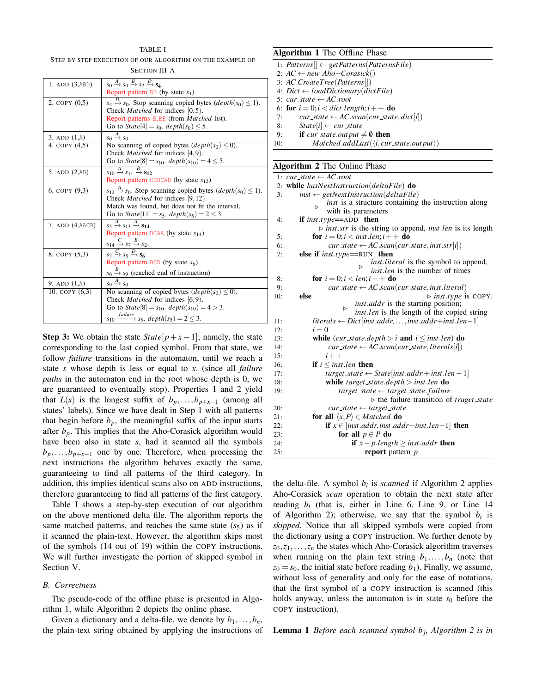#### TABLE I

STEP BY STEP EXECUTION OF OUR ALGORITHM ON THE EXAMPLE OF SECTION III-A

| 1. ADD $(3,ABD)$ | $s_0 \xrightarrow{A} s_0 \xrightarrow{B} s_2 \xrightarrow{D} s_4$                        |
|------------------|------------------------------------------------------------------------------------------|
|                  | Report pattern BD (by state $s_4$ )                                                      |
| 2. COPY $(0.5)$  | $s_4 \stackrel{D}{\rightarrow} s_0$ . Stop scanning copied bytes $(depth(s_0) \leq 1)$ . |
|                  | Check <i>Matched</i> for indices [0,5].                                                  |
|                  | Report patterns E, BE (from <i>Matched</i> list).                                        |
|                  | Go to $State[4] = s_0$ . $depth(s_0) \leq 5$ .                                           |
| $3.$ ADD $(1,A)$ | $s_0 \xrightarrow{A} s_0$                                                                |
| 4. COPY (4,5)    | No scanning of copied bytes $(depth(s_0) \leq 0)$ .                                      |
|                  | Check <i>Matched</i> for indices $[4, 9)$ .                                              |
|                  | Go to $State[8] = s_{10}$ . $depth(s_{10}) = 4 \leq 5$ .                                 |
| 5. ADD (2, AB)   | $s_{10} \stackrel{A}{\rightarrow} s_{11} \stackrel{B}{\rightarrow} s_{12}$               |
|                  | Report pattern CDBCAB (by state $s_{12}$ )                                               |
| 6. COPY (9,3)    | $s_{12} \xrightarrow{A} s_0$ . Stop scanning copied bytes $(depth(s_0) \le 1)$ .         |
|                  | Check <i>Matched</i> for indices [9,12).                                                 |
|                  | Match was found, but does not fit the interval.                                          |
|                  | Go to $State[11] = s_5$ , $depth(s_5) = 2 < 3$ .                                         |
| 7. ADD (4, AACB) | $s_5 \xrightarrow{A} s_{13} \xrightarrow{A} s_{14}.$                                     |
|                  | Report pattern BCAA (by state $s_{14}$ )                                                 |
|                  | $s_{14} \xrightarrow{C} s_7 \xrightarrow{B} s_2.$                                        |
| 8. COPY (5,3)    | $s_2 \xrightarrow{C} s_5 \xrightarrow{D} s_6$                                            |
|                  | Report pattern BCD (by state $s_6$ )                                                     |
|                  | $s_6 \xrightarrow{B} s_9$ (reached end of instruction)                                   |
| 9. ADD $(1,A)$   | $s_9 \xrightarrow{A} s_0$                                                                |
| 10. COPY (6,3)   | No scanning of copied bytes $(depth(s_0) \leq 0)$ .                                      |
|                  | Check <i>Matched</i> for indices [6,9].                                                  |
|                  | Go to $State[8] = s_{10}$ . $depth(s_{10}) = 4 > 3$ .                                    |
|                  | $s_{10} \xrightarrow{failure} s_5$ . $depth(s_5) = 2 \leq 3$ .                           |
|                  |                                                                                          |

**Step 3:** We obtain the state  $State[p + x - 1]$ ; namely, the state corresponding to the last copied symbol. From that state, we follow *failure* transitions in the automaton, until we reach a state *s* whose depth is less or equal to *x*. (since all *failure paths* in the automaton end in the root whose depth is 0, we are guaranteed to eventually stop). Properties 1 and 2 yield that  $L(s)$  is the longest suffix of  $b_p, \ldots, b_{p+x-1}$  (among all states' labels). Since we have dealt in Step 1 with all patterns that begin before  $b_p$ , the meaningful suffix of the input starts after  $b_p$ . This implies that the Aho-Corasick algorithm would have been also in state *s*, had it scanned all the symbols  $b_p, \ldots, b_{p+x-1}$  one by one. Therefore, when processing the next instructions the algorithm behaves exactly the same, guaranteeing to find all patterns of the third category. In addition, this implies identical scans also on ADD instructions, therefore guaranteeing to find all patterns of the first category.

Table I shows a step-by-step execution of our algorithm on the above mentioned delta file. The algorithm reports the same matched patterns, and reaches the same state  $(s<sub>5</sub>)$  as if it scanned the plain-text. However, the algorithm skips most of the symbols (14 out of 19) within the COPY instructions. We will further investigate the portion of skipped symbol in Section V.

#### *B. Correctness*

The pseudo-code of the offline phase is presented in Algorithm 1, while Algorithm 2 depicts the online phase.

Given a dictionary and a delta-file, we denote by  $b_1, \ldots, b_n$ , the plain-text string obtained by applying the instructions of

# Algorithm 1 The Offline Phase

- 1: *Patterns*[] ← *getPatterns*(*PatternsFile*)
- 2: *AC* ← *new Aho*−*Corasick*()
- 3: *AC*.*CreateTree*(*Patterns*[])
- 4: *Dict* ← *loadDictionary*(*dictFile*)
- 5: *cur state* ← *AC*.*root*
- 6: for  $i = 0; i <$  *dict.length*;  $i + +$  **do**
- 7:  $cur\_state \leftarrow AC \cdot scan(cur\_state, dict[i])$
- 8: *State*[ $i$ ]  $\leftarrow$  *cur\_state*
- 9: **if** *cur\_state.out put*  $\neq 0$  **then**<br>10: *Matched.addLast*( $\langle i, cur \rangle$ 
	- $Matched.addLast(\langle i, cur\_state.out put \rangle)$

## Algorithm 2 The Online Phase

|            | -                                                                                                                    |
|------------|----------------------------------------------------------------------------------------------------------------------|
|            | 1: $cur\_state \leftarrow AC-root$                                                                                   |
|            | 2: while hasNextInstruction(deltaFile) do                                                                            |
| 3:         | $inst \leftarrow getNextInstruction(deltaFile)$                                                                      |
|            | inst is a structure containing the instruction along                                                                 |
|            | ⊳<br>with its parameters                                                                                             |
| 4:         | if <i>inst.type</i> == $ADD$ then                                                                                    |
|            | $\triangleright$ inst.str is the string to append, inst.len is its length                                            |
| 5:         | <b>for</b> $i = 0$ ; $i <$ inst.len; $i + +$ <b>do</b>                                                               |
| 6:         | $cur\_state \leftarrow AC \cdot scan(cur\_state, inst \cdot str[i])$                                                 |
| 7:         | else if $inst.type == RUN$ then                                                                                      |
|            | inst.literal is the symbol to append,<br>Þ                                                                           |
|            | inst.len is the number of times                                                                                      |
| 8:         | for $i = 0; i < len; i++$ do                                                                                         |
| 9:         | $cur\_state \leftarrow AC \ldotp scan(cur\_state, inst \ldotp literal)$                                              |
| 10:        | else<br>$\triangleright$ <i>inst.type</i> is COPY.                                                                   |
|            | inst.addr is the starting position;                                                                                  |
|            | inst.len is the length of the copied string                                                                          |
| 11:        | $\{ \textit{iterals} \leftarrow \textit{Dict}[\textit{inst.addr}, \dots, \textit{inst.addr+inst.length} \}$<br>$i=0$ |
| 12:        |                                                                                                                      |
| 13:<br>14: | while (cur_state.depth > i and $i \leq$ inst.len) do                                                                 |
|            | $cur\_state \leftarrow AC \cdot scan(cur\_state, literals[i])$<br>$i++$                                              |
| 15:<br>16: |                                                                                                                      |
| 17:        | <b>if</b> $i \leq$ <i>inst len</i> <b>then</b>                                                                       |
| 18:        | target_state $\leftarrow$ State   inst.addr + inst.len - 1  <br>while target_state.depth $>$ inst.len do             |
| 19:        |                                                                                                                      |
|            | $target\_state \leftarrow target\_state.failure$<br>$\triangleright$ the failure transition of <i>traget_state</i>   |
|            |                                                                                                                      |
| 20:<br>21: | $cur\_state \leftarrow target\_state$                                                                                |
| 22:        | for all $\langle x, P \rangle \in \text{Matched}$ do                                                                 |
| 23:        | <b>if</b> $x \in$ [inst.addr, inst.addr+inst.len-1] <b>then</b><br>for all $p \in P$ do                              |
| 24:        | <b>if</b> $x$ – p.length $\geq$ inst.addr <b>then</b>                                                                |
| 25:        |                                                                                                                      |
|            | <b>report</b> pattern $p$                                                                                            |

the delta-file. A symbol  $b_i$  is *scanned* if Algorithm 2 applies Aho-Corasick *scan* operation to obtain the next state after reading  $b_i$  (that is, either in Line 6, Line 9, or Line 14 of Algorithm 2); otherwise, we say that the symbol  $b_i$  is *skipped*. Notice that all skipped symbols were copied from the dictionary using a COPY instruction. We further denote by  $z_0, z_1, \ldots, z_n$  the states which Aho-Corasick algorithm traverses when running on the plain text string  $b_1, \ldots, b_n$  (note that  $z_0 = s_0$ , the initial state before reading  $b_1$ ). Finally, we assume, without loss of generality and only for the ease of notations, that the first symbol of a COPY instruction is scanned (this holds anyway, unless the automaton is in state  $s_0$  before the COPY instruction).

# Lemma 1 *Before each scanned symbol b<sup>j</sup> , Algorithm 2 is in*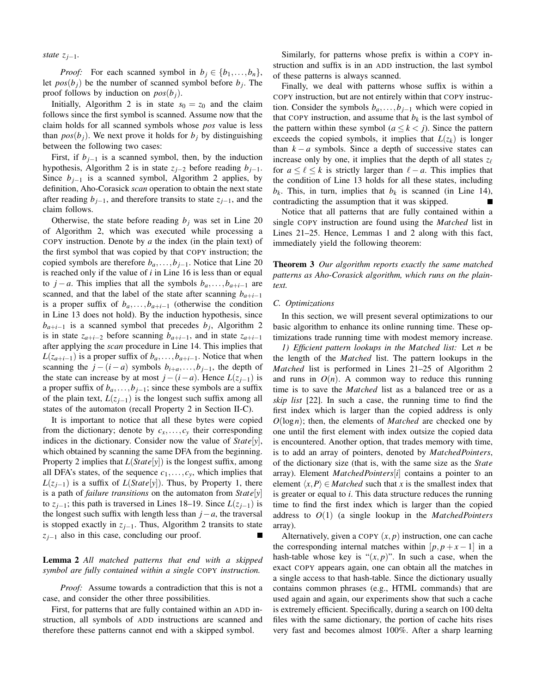*state*  $z_{j-1}$ *.* 

*Proof:* For each scanned symbol in  $b_j \in \{b_1, \ldots, b_n\}$ , let *pos*(*bj*) be the number of scanned symbol before *b<sup>j</sup>* . The proof follows by induction on  $pos(b_i)$ .

Initially, Algorithm 2 is in state  $s_0 = z_0$  and the claim follows since the first symbol is scanned. Assume now that the claim holds for all scanned symbols whose *pos* value is less than  $pos(b_i)$ . We next prove it holds for  $b_i$  by distinguishing between the following two cases:

First, if  $b_{j-1}$  is a scanned symbol, then, by the induction hypothesis, Algorithm 2 is in state  $z_{i-2}$  before reading  $b_{i-1}$ . Since  $b_{j-1}$  is a scanned symbol, Algorithm 2 applies, by definition, Aho-Corasick *scan* operation to obtain the next state after reading *bj*−1, and therefore transits to state *zj*−1, and the claim follows.

Otherwise, the state before reading  $b_i$  was set in Line 20 of Algorithm 2, which was executed while processing a COPY instruction. Denote by *a* the index (in the plain text) of the first symbol that was copied by that COPY instruction; the copied symbols are therefore  $b_a$ ,..., $b_{j-1}$ . Notice that Line 20 is reached only if the value of *i* in Line 16 is less than or equal to *j* − *a*. This implies that all the symbols  $b_a$ ,..., $b_{a+i-1}$  are scanned, and that the label of the state after scanning  $b_{a+i-1}$ is a proper suffix of  $b_a$ ,..., $b_{a+i-1}$  (otherwise the condition in Line 13 does not hold). By the induction hypothesis, since  $b_{a+i-1}$  is a scanned symbol that precedes  $b_j$ , Algorithm 2 is in state  $z_{a+i-2}$  before scanning  $b_{a+i-1}$ , and in state  $z_{a+i-1}$ after applying the *scan* procedure in Line 14. This implies that  $L(z_{a+i-1})$  is a proper suffix of  $b_a, \ldots, b_{a+i-1}$ . Notice that when scanning the  $j - (i - a)$  symbols  $b_{i+a}, \ldots, b_{j-1}$ , the depth of the state can increase by at most  $j-(i-a)$ . Hence  $L(z_{i-1})$  is a proper suffix of  $b_a$ ,..., $b_{j-1}$ ; since these symbols are a suffix of the plain text,  $L(z_{i-1})$  is the longest such suffix among all states of the automaton (recall Property 2 in Section II-C).

It is important to notice that all these bytes were copied from the dictionary; denote by  $c_x$ ,...,  $c_y$  their corresponding indices in the dictionary. Consider now the value of *State*[*y*], which obtained by scanning the same DFA from the beginning. Property 2 implies that *L*(*State*[*y*]) is the longest suffix, among all DFA's states, of the sequence  $c_1, \ldots, c_v$ , which implies that  $L(z_{i-1})$  is a suffix of  $L(State[y])$ . Thus, by Property 1, there is a path of *failure transitions* on the automaton from *State*[*y*] to  $z_{j-1}$ ; this path is traversed in Lines 18–19. Since  $L(z_{j-1})$  is the longest such suffix with length less than *j*−*a*, the traversal is stopped exactly in  $z_{i-1}$ . Thus, Algorithm 2 transits to state *zj*−<sup>1</sup> also in this case, concluding our proof.

# Lemma 2 *All matched patterns that end with a skipped symbol are fully contained within a single* COPY *instruction.*

*Proof:* Assume towards a contradiction that this is not a case, and consider the other three possibilities.

First, for patterns that are fully contained within an ADD instruction, all symbols of ADD instructions are scanned and therefore these patterns cannot end with a skipped symbol.

Similarly, for patterns whose prefix is within a COPY instruction and suffix is in an ADD instruction, the last symbol of these patterns is always scanned.

Finally, we deal with patterns whose suffix is within a COPY instruction, but are not entirely within that COPY instruction. Consider the symbols  $b_a$ ,..., $b_{j-1}$  which were copied in that COPY instruction, and assume that  $b_k$  is the last symbol of the pattern within these symbol  $(a \leq k < j)$ . Since the pattern exceeds the copied symbols, it implies that  $L(z_k)$  is longer than  $k - a$  symbols. Since a depth of successive states can increase only by one, it implies that the depth of all states  $z_\ell$ for  $a \leq \ell \leq k$  is strictly larger than  $\ell - a$ . This implies that the condition of Line 13 holds for all these states, including  $b_k$ . This, in turn, implies that  $b_k$  is scanned (in Line 14), contradicting the assumption that it was skipped.

Notice that all patterns that are fully contained within a single COPY instruction are found using the *Matched* list in Lines 21–25. Hence, Lemmas 1 and 2 along with this fact, immediately yield the following theorem:

Theorem 3 *Our algorithm reports exactly the same matched patterns as Aho-Corasick algorithm, which runs on the plaintext.*

# *C. Optimizations*

In this section, we will present several optimizations to our basic algorithm to enhance its online running time. These optimizations trade running time with modest memory increase.

*1) Efficient pattern lookups in the Matched list:* Let *n* be the length of the *Matched* list. The pattern lookups in the *Matched* list is performed in Lines 21–25 of Algorithm 2 and runs in  $O(n)$ . A common way to reduce this running time is to save the *Matched* list as a balanced tree or as a *skip list* [22]. In such a case, the running time to find the first index which is larger than the copied address is only *O*(log*n*); then, the elements of *Matched* are checked one by one until the first element with index outsize the copied data is encountered. Another option, that trades memory with time, is to add an array of pointers, denoted by *MatchedPointers*, of the dictionary size (that is, with the same size as the *State* array). Element *MatchedPointers*[*i*] contains a pointer to an element  $\langle x, P \rangle \in \text{Matched}$  such that *x* is the smallest index that is greater or equal to *i*. This data structure reduces the running time to find the first index which is larger than the copied address to *O*(1) (a single lookup in the *MatchedPointers* array).

Alternatively, given a COPY  $(x, p)$  instruction, one can cache the corresponding internal matches within  $[p, p + x - 1]$  in a hash-table whose key is " $(x, p)$ ". In such a case, when the exact COPY appears again, one can obtain all the matches in a single access to that hash-table. Since the dictionary usually contains common phrases (e.g., HTML commands) that are used again and again, our experiments show that such a cache is extremely efficient. Specifically, during a search on 100 delta files with the same dictionary, the portion of cache hits rises very fast and becomes almost 100%. After a sharp learning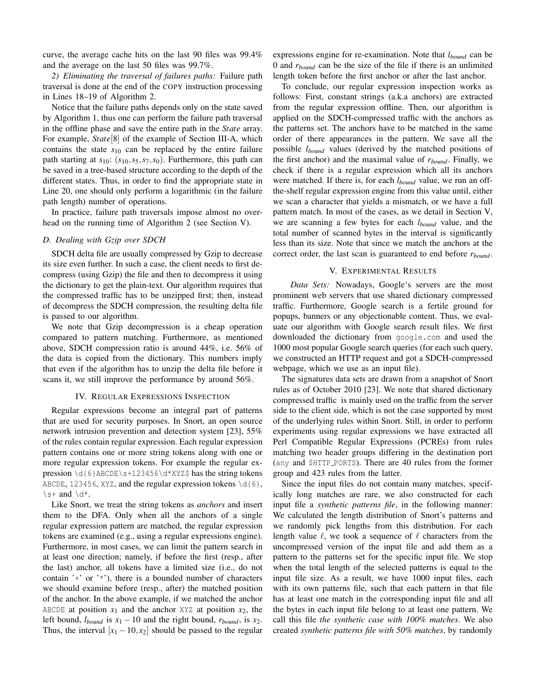curve, the average cache hits on the last 90 files was 99.4% and the average on the last 50 files was 99.7%.

*2) Eliminating the traversal of failures paths:* Failure path traversal is done at the end of the COPY instruction processing in Lines 18–19 of Algorithm 2.

Notice that the failure paths depends only on the state saved by Algorithm 1, thus one can perform the failure path traversal in the offline phase and save the entire path in the *State* array. For example, *State*[8] of the example of Section III-A, which contains the state *s*<sup>10</sup> can be replaced by the entire failure path starting at  $s_{10}$ :  $(s_{10}, s_5, s_7, s_0)$ . Furthermore, this path can be saved in a tree-based structure according to the depth of the different states. Thus, in order to find the appropriate state in Line 20, one should only perform a logarithmic (in the failure path length) number of operations.

In practice, failure path traversals impose almost no overhead on the running time of Algorithm 2 (see Section V).

# *D. Dealing with Gzip over SDCH*

SDCH delta file are usually compressed by Gzip to decrease its size even further. In such a case, the client needs to first decompress (using Gzip) the file and then to decompress it using the dictionary to get the plain-text. Our algorithm requires that the compressed traffic has to be unzipped first; then, instead of decompress the SDCH compression, the resulting delta file is passed to our algorithm.

We note that Gzip decompression is a cheap operation compared to pattern matching. Furthermore, as mentioned above, SDCH compression ratio is around 44%, i.e. 56% of the data is copied from the dictionary. This numbers imply that even if the algorithm has to unzip the delta file before it scans it, we still improve the performance by around 56%.

#### IV. REGULAR EXPRESSIONS INSPECTION

Regular expressions become an integral part of patterns that are used for security purposes. In Snort, an open source network intrusion prevention and detection system [23], 55% of the rules contain regular expression. Each regular expression pattern contains one or more string tokens along with one or more regular expression tokens. For example the regular expression  $\d{6}ABCDE\s+123456\d*XYZ$$  has the string tokens ABCDE, 123456, XYZ, and the regular expression tokens  $\{d\}$ ,  $\setminus$ s+ and  $\setminus$ d\*.

Like Snort, we treat the string tokens as *anchors* and insert them to the DFA. Only when all the anchors of a single regular expression pattern are matched, the regular expression tokens are examined (e.g., using a regular expressions engine). Furthermore, in most cases, we can limit the pattern search in at least one direction; namely, if before the first (resp., after the last) anchor, all tokens have a limited size (i.e., do not contain '+' or '\*'), there is a bounded number of characters we should examine before (resp., after) the matched position of the anchor. In the above example, if we matched the anchor ABCDE at position  $x_1$  and the anchor XYZ at position  $x_2$ , the left bound,  $l_{bound}$  is  $x_1 - 10$  and the right bound,  $r_{bound}$ , is  $x_2$ . Thus, the interval  $[x_1 - 10, x_2]$  should be passed to the regular expressions engine for re-examination. Note that *lbound* can be 0 and *rbound* can be the size of the file if there is an unlimited length token before the first anchor or after the last anchor.

To conclude, our regular expression inspection works as follows: First, constant strings (a.k.a anchors) are extracted from the regular expression offline. Then, our algorithm is applied on the SDCH-compressed traffic with the anchors as the patterns set. The anchors have to be matched in the same order of there appearances in the pattern. We save all the possible *lbound* values (derived by the matched positions of the first anchor) and the maximal value of *rbound*. Finally, we check if there is a regular expression which all its anchors were matched. If there is, for each *lbound* value, we run an offthe-shelf regular expression engine from this value until, either we scan a character that yields a mismatch, or we have a full pattern match. In most of the cases, as we detail in Section V, we are scanning a few bytes for each *lbound* value, and the total number of scanned bytes in the interval is significantly less than its size. Note that since we match the anchors at the correct order, the last scan is guaranteed to end before *rbound*.

#### V. EXPERIMENTAL RESULTS

*Data Sets:* Nowadays, Google's servers are the most prominent web servers that use shared dictionary compressed traffic. Furthermore, Google search is a fertile ground for popups, banners or any objectionable content. Thus, we evaluate our algorithm with Google search result files. We first downloaded the dictionary from google.com and used the 1000 most popular Google search queries (for each such query, we constructed an HTTP request and got a SDCH-compressed webpage, which we use as an input file).

The signatures data sets are drawn from a snapshot of Snort rules as of October 2010 [23]. We note that shared dictionary compressed traffic is mainly used on the traffic from the server side to the client side, which is not the case supported by most of the underlying rules within Snort. Still, in order to perform experiments using regular expressions we have extracted all Perl Compatible Regular Expressions (PCREs) from rules matching two header groups differing in the destination port (any and \$HTTP PORTS). There are 40 rules from the former group and 423 rules from the latter.

Since the input files do not contain many matches, specifically long matches are rare, we also constructed for each input file a *synthetic patterns file*, in the following manner: We calculated the length distribution of Snort's patterns and we randomly pick lengths from this distribution. For each length value  $\ell$ , we took a sequence of  $\ell$  characters from the uncompressed version of the input file and add them as a pattern to the patterns set for the specific input file. We stop when the total length of the selected patterns is equal to the input file size. As a result, we have 1000 input files, each with its own patterns file, such that each pattern in that file has at least one match in the corresponding input file and all the bytes in each input file belong to at least one pattern. We call this file *the synthetic case with 100% matches*. We also created *synthetic patterns file with 50% matches*, by randomly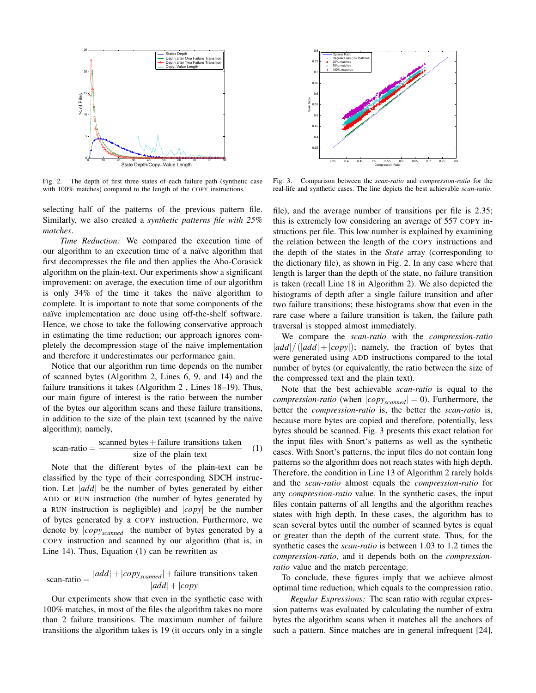

0.35 0.4 0.45 0.5 0.55 0.6 0.65 0.7 0.75 0.8  $0.35 +$  $0.4 0.45 +$  $0.5 +$ 0.55 0.6  $0.65 +$  $0.7$   $\geq$ 0.75  $0.8 -$ Compression Ratio Scan Ratio Optimal Ratio Regular Files (5% matches) 25% matches 50% matches 100% matches

Fig. 2. The depth of first three states of each failure path (synthetic case with 100% matches) compared to the length of the COPY instructions.

selecting half of the patterns of the previous pattern file. Similarly, we also created a *synthetic patterns file with 25% matches*.

*Time Reduction:* We compared the execution time of our algorithm to an execution time of a naïve algorithm that first decompresses the file and then applies the Aho-Corasick algorithm on the plain-text. Our experiments show a significant improvement: on average, the execution time of our algorithm is only 34% of the time it takes the naïve algorithm to complete. It is important to note that some components of the naïve implementation are done using off-the-shelf software. Hence, we chose to take the following conservative approach in estimating the time reduction; our approach ignores completely the decompression stage of the naïve implementation and therefore it underestimates our performance gain.

Notice that our algorithm run time depends on the number of scanned bytes (Algorithm 2, Lines 6, 9, and 14) and the failure transitions it takes (Algorithm 2, Lines 18–19). Thus, our main figure of interest is the ratio between the number of the bytes our algorithm scans and these failure transitions, in addition to the size of the plain text (scanned by the naïve algorithm); namely,

$$
scan-ratio = \frac{scanned bytes + failure transitions taken}{size of the plain text} \quad (1)
$$

Note that the different bytes of the plain-text can be classified by the type of their corresponding SDCH instruction. Let |*add*| be the number of bytes generated by either ADD or RUN instruction (the number of bytes generated by a RUN instruction is negligible) and |*copy*| be the number of bytes generated by a COPY instruction. Furthermore, we denote by |*copyscanned*| the number of bytes generated by a COPY instruction and scanned by our algorithm (that is, in Line 14). Thus, Equation (1) can be rewritten as

$$
scan-ratio = \frac{|add| + |copy_{scanned}| + failure \text{ transitions taken}}{|add| + |copy|}
$$

Our experiments show that even in the synthetic case with 100% matches, in most of the files the algorithm takes no more than 2 failure transitions. The maximum number of failure transitions the algorithm takes is 19 (it occurs only in a single

Fig. 3. Comparison between the *scan-ratio* and *compression-ratio* for the real-life and synthetic cases. The line depicts the best achievable *scan-ratio*.

file), and the average number of transitions per file is 2.35; this is extremely low considering an average of 557 COPY instructions per file. This low number is explained by examining the relation between the length of the COPY instructions and the depth of the states in the *State* array (corresponding to the dictionary file), as shown in Fig. 2. In any case where that length is larger than the depth of the state, no failure transition is taken (recall Line 18 in Algorithm 2). We also depicted the histograms of depth after a single failure transition and after two failure transitions; these histograms show that even in the rare case where a failure transition is taken, the failure path traversal is stopped almost immediately.

We compare the *scan-ratio* with the *compression-ratio*  $|add|/(|add|+|copy|);$  namely, the fraction of bytes that were generated using ADD instructions compared to the total number of bytes (or equivalently, the ratio between the size of the compressed text and the plain text).

Note that the best achievable *scan-ratio* is equal to the *compression-ratio* (when |*copyscanned*| = 0). Furthermore, the better the *compression-ratio* is, the better the *scan-ratio* is, because more bytes are copied and therefore, potentially, less bytes should be scanned. Fig. 3 presents this exact relation for the input files with Snort's patterns as well as the synthetic cases. With Snort's patterns, the input files do not contain long patterns so the algorithm does not reach states with high depth. Therefore, the condition in Line 13 of Algorithm 2 rarely holds and the *scan-ratio* almost equals the *compression-ratio* for any *compression-ratio* value. In the synthetic cases, the input files contain patterns of all lengths and the algorithm reaches states with high depth. In these cases, the algorithm has to scan several bytes until the number of scanned bytes is equal or greater than the depth of the current state. Thus, for the synthetic cases the *scan-ratio* is between 1.03 to 1.2 times the *compression-ratio*, and it depends both on the *compressionratio* value and the match percentage.

To conclude, these figures imply that we achieve almost optimal time reduction, which equals to the compression ratio.

*Regular Expressions:* The scan ratio with regular expression patterns was evaluated by calculating the number of extra bytes the algorithm scans when it matches all the anchors of such a pattern. Since matches are in general infrequent [24],